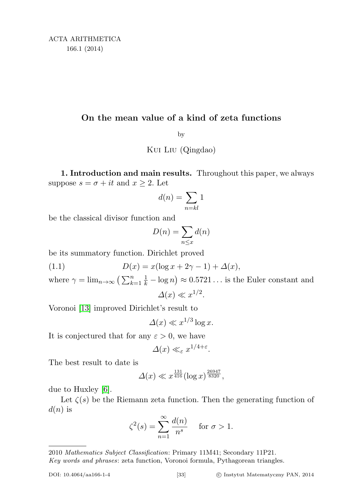## On the mean value of a kind of zeta functions

by

Kui Liu (Qingdao)

1. Introduction and main results. Throughout this paper, we always suppose  $s = \sigma + it$  and  $x \geq 2$ . Let

$$
d(n) = \sum_{n=kl} 1
$$

be the classical divisor function and

<span id="page-0-0"></span>
$$
D(n) = \sum_{n \le x} d(n)
$$

be its summatory function. Dirichlet proved

(1.1)  $D(x) = x(\log x + 2\gamma - 1) + \Delta(x),$ 

where  $\gamma = \lim_{n \to \infty} \left( \sum_{k=1}^n \frac{1}{k} - \log n \right) \approx 0.5721...$  is the Euler constant and  $\Delta(x) \ll x^{1/2}$ .

Voronoi [\[13\]](#page-21-0) improved Dirichlet's result to

 $\Delta(x) \ll x^{1/3} \log x.$ 

It is conjectured that for any  $\varepsilon > 0$ , we have

$$
\Delta(x) \ll_{\varepsilon} x^{1/4+\varepsilon}.
$$

The best result to date is

$$
\Delta(x) \ll x^{\frac{131}{416}} (\log x)^{\frac{26947}{8320}},
$$

due to Huxley [\[6\]](#page-21-1).

Let  $\zeta(s)$  be the Riemann zeta function. Then the generating function of  $d(n)$  is

$$
\zeta^2(s) = \sum_{n=1}^{\infty} \frac{d(n)}{n^s} \quad \text{for } \sigma > 1.
$$

<sup>2010</sup> Mathematics Subject Classification: Primary 11M41; Secondary 11P21. Key words and phrases: zeta function, Voronoi formula, Pythagorean triangles.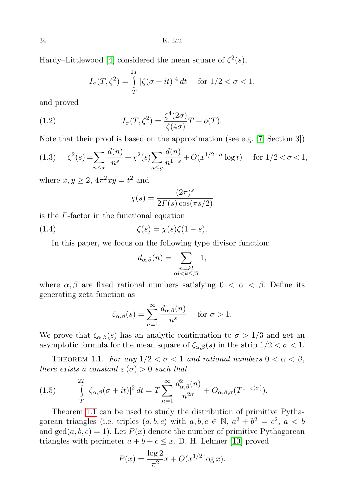34 K. Liu

Hardy–Littlewood [\[4\]](#page-21-2) considered the mean square of  $\zeta^2(s)$ ,

<span id="page-1-1"></span>
$$
I_{\sigma}(T, \zeta^2) = \int_{T}^{2T} |\zeta(\sigma + it)|^4 dt \quad \text{for } 1/2 < \sigma < 1,
$$

and proved

(1.2) 
$$
I_{\sigma}(T,\zeta^2) = \frac{\zeta^4(2\sigma)}{\zeta(4\sigma)}T + o(T).
$$

Note that their proof is based on the approximation (see e.g. [\[7,](#page-21-3) Section 3])

<span id="page-1-3"></span>
$$
(1.3) \quad \zeta^2(s) = \sum_{n \le x} \frac{d(n)}{n^s} + \chi^2(s) \sum_{n \le y} \frac{d(n)}{n^{1-s}} + O(x^{1/2 - \sigma} \log t) \quad \text{for } 1/2 < \sigma < 1,
$$

where  $x, y \geq 2$ ,  $4\pi^2 xy = t^2$  and

$$
\chi(s) = \frac{(2\pi)^s}{2\Gamma(s)\cos(\pi s/2)}
$$

is the Γ-factor in the functional equation

(1.4) 
$$
\zeta(s) = \chi(s)\zeta(1-s).
$$

In this paper, we focus on the following type divisor function:

<span id="page-1-2"></span>
$$
d_{\alpha,\beta}(n) = \sum_{\substack{n = kl \\ \alpha l < k \le \beta l}} 1,
$$

where  $\alpha, \beta$  are fixed rational numbers satisfying  $0 < \alpha < \beta$ . Define its generating zeta function as

$$
\zeta_{\alpha,\beta}(s) = \sum_{n=1}^{\infty} \frac{d_{\alpha,\beta}(n)}{n^s} \quad \text{ for } \sigma > 1.
$$

We prove that  $\zeta_{\alpha,\beta}(s)$  has an analytic continuation to  $\sigma > 1/3$  and get an asymptotic formula for the mean square of  $\zeta_{\alpha,\beta}(s)$  in the strip  $1/2 < \sigma < 1$ .

<span id="page-1-0"></span>THEOREM 1.1. For any  $1/2 < \sigma < 1$  and rational numbers  $0 < \alpha < \beta$ , there exists a constant  $\varepsilon(\sigma) > 0$  such that

(1.5) 
$$
\int_{T}^{2T} |\zeta_{\alpha,\beta}(\sigma+it)|^2 dt = T \sum_{n=1}^{\infty} \frac{d_{\alpha,\beta}^2(n)}{n^{2\sigma}} + O_{\alpha,\beta,\sigma}(T^{1-\varepsilon(\sigma)}).
$$

Theorem [1.1](#page-1-0) can be used to study the distribution of primitive Pythagorean triangles (i.e. triples  $(a, b, c)$  with  $a, b, c \in \mathbb{N}, a^2 + b^2 = c^2, a < b$ and  $gcd(a, b, c) = 1$ . Let  $P(x)$  denote the number of primitive Pythagorean triangles with perimeter  $a + b + c \leq x$ . D. H. Lehmer [\[10\]](#page-21-4) proved

$$
P(x) = \frac{\log 2}{\pi^2} x + O(x^{1/2} \log x).
$$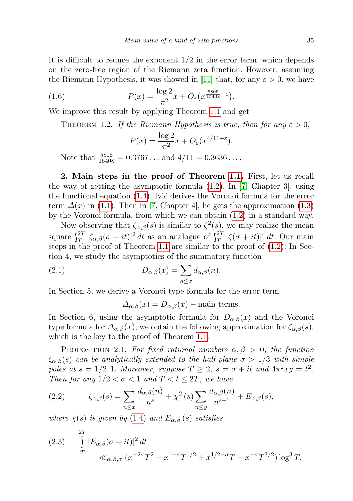It is difficult to reduce the exponent  $1/2$  in the error term, which depends on the zero-free region of the Riemann zeta function. However, assuming the Riemann Hypothesis, it was showed in [\[11\]](#page-21-5) that, for any  $\varepsilon > 0$ , we have

(1.6) 
$$
P(x) = \frac{\log 2}{\pi^2} x + O_{\varepsilon} \left( x^{\frac{5805}{15408} + \varepsilon} \right).
$$

<span id="page-2-3"></span>We improve this result by applying Theorem [1.1](#page-1-0) and get

THEOREM 1.2. If the Riemann Hypothesis is true, then for any  $\varepsilon > 0$ ,

<span id="page-2-4"></span>
$$
P(x) = \frac{\log 2}{\pi^2} x + O_{\varepsilon}(x^{4/11+\varepsilon}).
$$

Note that  $\frac{5805}{15408} = 0.3767...$  and  $4/11 = 0.3636...$ 

2. Main steps in the proof of Theorem [1.1.](#page-1-0) First, let us recall the way of getting the asymptotic formula  $(1.2)$ . In [\[7,](#page-21-3) Chapter 3], using the functional equation  $(1.4)$ , Ivić derives the Voronoi formula for the error term  $\Delta(x)$  in [\(1.1\)](#page-0-0). Then in [\[7,](#page-21-3) Chapter 4], he gets the approximation [\(1.3\)](#page-1-3) by the Voronoi formula, from which we can obtain [\(1.2\)](#page-1-1) in a standard way.

Now observing that  $\zeta_{\alpha,\beta}(s)$  is similar to  $\zeta^2(s)$ , we may realize the mean square  $\int_T^{2T} |\zeta_{\alpha,\beta}(\sigma+it)|^2 dt$  as an analogue of  $\int_T^{2T} |\zeta(\sigma+it)|^4 dt$ . Our main steps in the proof of Theorem [1.1](#page-1-0) are similar to the proof of [\(1.2\)](#page-1-1): In Section 4, we study the asymptotics of the summatory function

(2.1) 
$$
D_{\alpha,\beta}(x) = \sum_{n \leq x} d_{\alpha,\beta}(n).
$$

In Section 5, we derive a Voronoi type formula for the error term

<span id="page-2-2"></span>
$$
\Delta_{\alpha,\beta}(x) = D_{\alpha,\beta}(x) - \text{main terms.}
$$

In Section 6, using the asymptotic formula for  $D_{\alpha,\beta}(x)$  and the Voronoi type formula for  $\Delta_{\alpha,\beta}(x)$ , we obtain the following approximation for  $\zeta_{\alpha,\beta}(s)$ , which is the key to the proof of Theorem [1.1.](#page-1-0)

<span id="page-2-1"></span>PROPOSITION 2.1. For fixed rational numbers  $\alpha, \beta > 0$ , the function  $\zeta_{\alpha,\beta}(s)$  can be analytically extended to the half-plane  $\sigma > 1/3$  with simple poles at  $s = 1/2, 1$ . Moreover, suppose  $T \geq 2$ ,  $s = \sigma + it$  and  $4\pi^2 xy = t^2$ . Then for any  $1/2 < \sigma < 1$  and  $T < t \leq 2T$ , we have

<span id="page-2-0"></span>(2.2) 
$$
\zeta_{\alpha,\beta}(s) = \sum_{n \le x} \frac{d_{\alpha,\beta}(n)}{n^s} + \chi^2(s) \sum_{n \le y} \frac{d_{\alpha,\beta}(n)}{n^{s-1}} + E_{\alpha,\beta}(s),
$$

where  $\chi(s)$  is given by [\(1.4\)](#page-1-2) and  $E_{\alpha,\beta}(s)$  satisfies

(2.3) 
$$
\int_{T}^{2T} |E_{\alpha,\beta}(\sigma + it)|^2 dt
$$
  
\n
$$
\ll_{\alpha,\beta,\sigma} (x^{-2\sigma}T^2 + x^{1-\sigma}T^{1/2} + x^{1/2-\sigma}T + x^{-\sigma}T^{3/2}) \log^3 T.
$$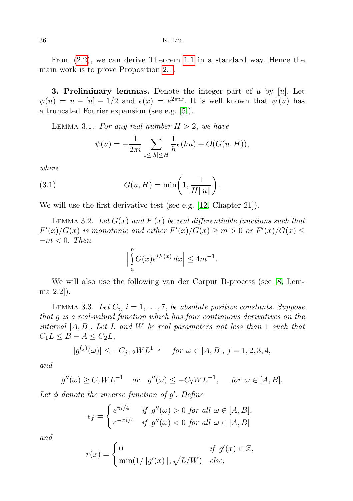36 K. Liu

From [\(2.2\)](#page-2-0), we can derive Theorem [1.1](#page-1-0) in a standard way. Hence the main work is to prove Proposition [2.1.](#page-2-1)

**3. Preliminary lemmas.** Denote the integer part of u by  $[u]$ . Let  $\psi(u) = u - [u] - 1/2$  and  $e(x) = e^{2\pi i x}$ . It is well known that  $\psi(u)$  has a truncated Fourier expansion (see e.g. [\[5\]](#page-21-6)).

<span id="page-3-0"></span>LEMMA 3.1. For any real number  $H > 2$ , we have

<span id="page-3-2"></span>
$$
\psi(u) = -\frac{1}{2\pi i} \sum_{1 \le |h| \le H} \frac{1}{h} e(hu) + O(G(u, H)),
$$

where

(3.1) 
$$
G(u, H) = \min\left(1, \frac{1}{H\|u\|}\right).
$$

We will use the first derivative test (see e.g. [\[12,](#page-21-7) Chapter 21]).

<span id="page-3-3"></span>LEMMA 3.2. Let  $G(x)$  and  $F(x)$  be real differentiable functions such that  $F'(x)/G(x)$  is monotonic and either  $F'(x)/G(x) \geq m > 0$  or  $F'(x)/G(x) \leq$  $-m < 0$ . Then b

$$
\left|\int\limits_a^v G(x)e^{iF(x)}\,dx\right|\leq 4m^{-1}.
$$

We will also use the following van der Corput B-process (see [\[8,](#page-21-8) Lemma 2.2]).

<span id="page-3-1"></span>LEMMA 3.3. Let  $C_i$ ,  $i = 1, \ldots, 7$ , be absolute positive constants. Suppose that g is a real-valued function which has four continuous derivatives on the interval  $[A, B]$ . Let L and W be real parameters not less than 1 such that  $C_1L \leq B - A \leq C_2L$ 

$$
|g^{(j)}(\omega)| \le -C_{j+2}WL^{1-j} \quad \text{ for } \omega \in [A, B], j = 1, 2, 3, 4,
$$

and

$$
g''(\omega) \ge C_7WL^{-1}
$$
 or  $g''(\omega) \le -C_7WL^{-1}$ , for  $\omega \in [A, B]$ .

Let  $\phi$  denote the inverse function of g'. Define

$$
\epsilon_f = \begin{cases} e^{\pi i/4} & \text{if } g''(\omega) > 0 \text{ for all } \omega \in [A, B], \\ e^{-\pi i/4} & \text{if } g''(\omega) < 0 \text{ for all } \omega \in [A, B] \end{cases}
$$

and

$$
r(x) = \begin{cases} 0 & \text{if } g'(x) \in \mathbb{Z}, \\ \min(1/\|g'(x)\|, \sqrt{L/W}) & \text{else,} \end{cases}
$$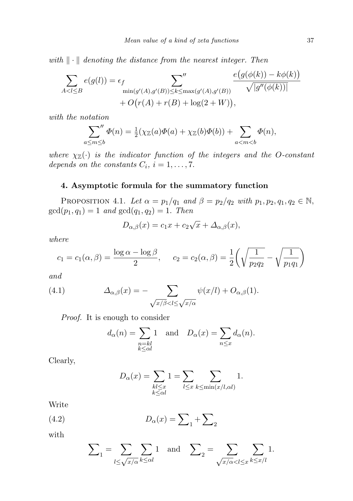with  $\|\cdot\|$  denoting the distance from the nearest integer. Then

$$
\sum_{A < l \leq B} e(g(l)) = \epsilon_f \sum_{\min(g'(A), g'(B)) \leq k \leq \max(g'(A), g'(B))} \frac{e(g(\phi(k)) - k\phi(k))}{\sqrt{|g''(\phi(k))|}} + O(r(A) + r(B) + \log(2 + W)),
$$

with the notation

 $\alpha$ 

$$
\sum_{m\leq b}^{\prime\prime}\Phi(n)=\tfrac{1}{2}(\chi_{\mathbb{Z}}(a)\Phi(a)+\chi_{\mathbb{Z}}(b)\Phi(b))+\sum_{a
$$

where  $\chi_{\mathbb{Z}}(\cdot)$  is the indicator function of the integers and the O-constant depends on the constants  $C_i$ ,  $i = 1, \ldots, 7$ .

## 4. Asymptotic formula for the summatory function

<span id="page-4-1"></span>PROPOSITION 4.1. Let  $\alpha = p_1/q_1$  and  $\beta = p_2/q_2$  with  $p_1, p_2, q_1, q_2 \in \mathbb{N}$ ,  $gcd(p_1, q_1) = 1$  and  $gcd(q_1, q_2) = 1$ . Then

$$
D_{\alpha,\beta}(x) = c_1 x + c_2 \sqrt{x} + \Delta_{\alpha,\beta}(x),
$$

where

$$
c_1 = c_1(\alpha, \beta) = \frac{\log \alpha - \log \beta}{2}
$$
,  $c_2 = c_2(\alpha, \beta) = \frac{1}{2} \left( \sqrt{\frac{1}{p_2 q_2}} - \sqrt{\frac{1}{p_1 q_1}} \right)$ 

and

(4.1) 
$$
\Delta_{\alpha,\beta}(x) = -\sum_{\sqrt{x/\beta} < l \leq \sqrt{x/\alpha}} \psi(x/l) + O_{\alpha,\beta}(1).
$$

Proof. It is enough to consider

<span id="page-4-0"></span>
$$
d_{\alpha}(n) = \sum_{\substack{n = kl \ k \le \alpha}} 1
$$
 and  $D_{\alpha}(x) = \sum_{n \le x} d_{\alpha}(n)$ .

Clearly,

$$
D_{\alpha}(x) = \sum_{\substack{kl \le x \\ k \le \alpha l}} 1 = \sum_{l \le x} \sum_{k \le \min(x/l, \alpha l)} 1.
$$

Write

$$
(4.2)\qquad \qquad D_{\alpha}(x) = \sum_{1} + \sum_{2}
$$

with

$$
\sum_{1} = \sum_{l \leq \sqrt{x/\alpha}} \sum_{k \leq \alpha l} 1 \text{ and } \sum_{2} = \sum_{\sqrt{x/\alpha} < l \leq x} \sum_{k \leq x/l} 1.
$$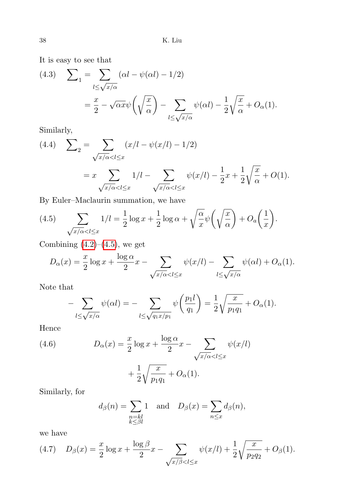It is easy to see that

(4.3) 
$$
\sum_{1} = \sum_{l \leq \sqrt{x/\alpha}} (\alpha l - \psi(\alpha l) - 1/2)
$$

$$
= \frac{x}{2} - \sqrt{\alpha x} \psi \left( \sqrt{\frac{x}{\alpha}} \right) - \sum_{l \leq \sqrt{x/\alpha}} \psi(\alpha l) - \frac{1}{2} \sqrt{\frac{x}{\alpha}} + O_{\alpha}(1).
$$

Similarly,

(4.4) 
$$
\sum_{2} = \sum_{\sqrt{x/\alpha} < l \leq x} (x/l - \psi(x/l) - 1/2)
$$
\n
$$
= x \sum_{\sqrt{x/\alpha} < l \leq x} 1/l - \sum_{\sqrt{x/\alpha} < l \leq x} \psi(x/l) - \frac{1}{2}x + \frac{1}{2} \sqrt{\frac{x}{\alpha}} + O(1).
$$

By Euler–Maclaurin summation, we have

(4.5) 
$$
\sum_{\sqrt{x/\alpha} < l \leq x} 1/l = \frac{1}{2} \log x + \frac{1}{2} \log \alpha + \sqrt{\frac{\alpha}{x}} \psi \left(\sqrt{\frac{x}{\alpha}}\right) + O_a\left(\frac{1}{x}\right).
$$

Combining  $(4.2)$ – $(4.5)$ , we get

$$
D_{\alpha}(x) = \frac{x}{2} \log x + \frac{\log \alpha}{2} x - \sum_{\sqrt{x/\alpha} < l \leq x} \psi(x/l) - \sum_{l \leq \sqrt{x/\alpha}} \psi(\alpha l) + O_{\alpha}(1).
$$

Note that

$$
-\sum_{l\leq\sqrt{x/\alpha}}\psi(\alpha l)=-\sum_{l\leq\sqrt{q_1x/p_1}}\psi\left(\frac{p_1l}{q_1}\right)=\frac{1}{2}\sqrt{\frac{x}{p_1q_1}}+O_{\alpha}(1).
$$

Hence

(4.6) 
$$
D_{\alpha}(x) = \frac{x}{2} \log x + \frac{\log \alpha}{2} x - \sum_{\sqrt{x/\alpha} < l \leq x} \psi(x/l)
$$

$$
+ \frac{1}{2} \sqrt{\frac{x}{p_1 q_1}} + O_{\alpha}(1).
$$

Similarly, for

$$
d_{\beta}(n) = \sum_{\substack{n=kl \ k \le \beta l}} 1
$$
 and  $D_{\beta}(x) = \sum_{n \le x} d_{\beta}(n)$ ,

we have

<span id="page-5-0"></span>(4.7) 
$$
D_{\beta}(x) = \frac{x}{2} \log x + \frac{\log \beta}{2} x - \sum_{\sqrt{x/\beta} < l \leq x} \psi(x/l) + \frac{1}{2} \sqrt{\frac{x}{p_2 q_2}} + O_{\beta}(1).
$$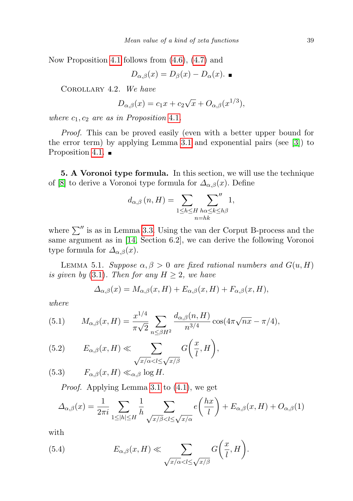Now Proposition [4.1](#page-4-1) follows from [\(4.6\)](#page-4-0), [\(4.7\)](#page-5-0) and

$$
D_{\alpha,\beta}(x) = D_{\beta}(x) - D_{\alpha}(x). \quad \blacksquare
$$

<span id="page-6-2"></span>Corollary 4.2. We have

$$
D_{\alpha,\beta}(x) = c_1 x + c_2 \sqrt{x} + O_{\alpha,\beta}(x^{1/3}),
$$

where  $c_1, c_2$  are as in Proposition [4.1](#page-4-1).

Proof. This can be proved easily (even with a better upper bound for the error term) by applying Lemma [3.1](#page-3-0) and exponential pairs (see [\[3\]](#page-20-0)) to Proposition [4.1.](#page-4-1)  $\blacksquare$ 

5. A Voronoi type formula. In this section, we will use the technique of [\[8\]](#page-21-8) to derive a Voronoi type formula for  $\Delta_{\alpha,\beta}(x)$ . Define

$$
d_{\alpha,\beta}(n,H) = \sum_{1 \le h \le H} \sum_{\substack{h \alpha \le k \le h\beta \\ n = hk}} 1,
$$

where  $\sum^{\prime\prime}$  is as in Lemma [3.3.](#page-3-1) Using the van der Corput B-process and the same argument as in [\[14,](#page-21-9) Section 6.2], we can derive the following Voronoi type formula for  $\Delta_{\alpha,\beta}(x)$ .

<span id="page-6-1"></span>LEMMA 5.1. Suppose  $\alpha, \beta > 0$  are fixed rational numbers and  $G(u, H)$ is given by [\(3.1\)](#page-3-2). Then for any  $H \geq 2$ , we have

$$
\Delta_{\alpha,\beta}(x) = M_{\alpha,\beta}(x,H) + E_{\alpha,\beta}(x,H) + F_{\alpha,\beta}(x,H),
$$

where

(5.1) 
$$
M_{\alpha,\beta}(x,H) = \frac{x^{1/4}}{\pi\sqrt{2}} \sum_{n \le \beta H^2} \frac{d_{\alpha,\beta}(n,H)}{n^{3/4}} \cos(4\pi\sqrt{nx} - \pi/4),
$$

(5.2) 
$$
E_{\alpha,\beta}(x,H) \ll \sum_{\sqrt{x/\alpha} < l \leq \sqrt{x/\beta}} G\left(\frac{x}{l},H\right),
$$

(5.3)  $F_{\alpha,\beta}(x,H) \ll_{\alpha,\beta} \log H$ .

Proof. Applying Lemma [3.1](#page-3-0) to [\(4.1\)](#page-4-0), we get

$$
\Delta_{\alpha,\beta}(x) = \frac{1}{2\pi i} \sum_{1 \le |h| \le H} \frac{1}{h} \sum_{\sqrt{x/\beta} < l \le \sqrt{x/\alpha}} e\left(\frac{hx}{l}\right) + E_{\alpha,\beta}(x,H) + O_{\alpha,\beta}(1)
$$

with

<span id="page-6-0"></span>(5.4) 
$$
E_{\alpha,\beta}(x,H) \ll \sum_{\sqrt{x/\alpha} < l \leq \sqrt{x/\beta}} G\left(\frac{x}{l},H\right).
$$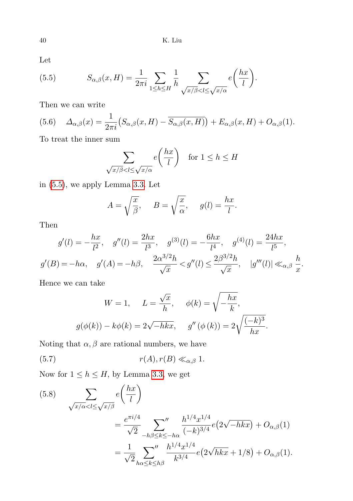40 K. Liu

Let

<span id="page-7-0"></span>(5.5) 
$$
S_{\alpha,\beta}(x,H) = \frac{1}{2\pi i} \sum_{1 \leq h \leq H} \frac{1}{h} \sum_{\sqrt{x/\beta} < l \leq \sqrt{x/\alpha}} e\left(\frac{hx}{l}\right).
$$

Then we can write

<span id="page-7-2"></span>(5.6) 
$$
\Delta_{\alpha,\beta}(x) = \frac{1}{2\pi i} \left( S_{\alpha,\beta}(x,H) - \overline{S_{\alpha,\beta}(x,H)} \right) + E_{\alpha,\beta}(x,H) + O_{\alpha,\beta}(1).
$$

To treat the inner sum

$$
\sum_{\sqrt{x/\beta} < l \le \sqrt{x/\alpha}} e\left(\frac{hx}{l}\right) \quad \text{for } l \le h \le H
$$

in [\(5.5\)](#page-7-0), we apply Lemma [3.3.](#page-3-1) Let

$$
A = \sqrt{\frac{x}{\beta}}, \quad B = \sqrt{\frac{x}{\alpha}}, \quad g(l) = \frac{hx}{l}.
$$

Then

$$
g'(l) = -\frac{hx}{l^2}, \quad g''(l) = \frac{2hx}{l^3}, \quad g^{(3)}(l) = -\frac{6hx}{l^4}, \quad g^{(4)}(l) = \frac{24hx}{l^5},
$$

$$
g'(B) = -h\alpha, \quad g'(A) = -h\beta, \quad \frac{2\alpha^{3/2}h}{\sqrt{x}} < g''(l) \le \frac{2\beta^{3/2}h}{\sqrt{x}}, \quad |g'''(l)| \ll_{\alpha,\beta} \frac{h}{x}.
$$

Hence we can take

<span id="page-7-3"></span>
$$
W = 1, \qquad L = \frac{\sqrt{x}}{h}, \qquad \phi(k) = \sqrt{-\frac{hx}{k}},
$$

$$
g(\phi(k)) - k\phi(k) = 2\sqrt{-hkx}, \qquad g''(\phi(k)) = 2\sqrt{\frac{(-k)^3}{hx}}.
$$

Noting that  $\alpha, \beta$  are rational numbers, we have

(5.7) 
$$
r(A), r(B) \ll_{\alpha,\beta} 1.
$$

Now for  $1 \leq h \leq H$ , by Lemma [3.3,](#page-3-1) we get

<span id="page-7-1"></span>(5.8) 
$$
\sum_{\sqrt{x/\alpha} < l \leq \sqrt{x/\beta}} e\left(\frac{hx}{l}\right)
$$
\n
$$
= \frac{e^{\pi i/4}}{\sqrt{2}} \sum_{-h\beta \leq k \leq -h\alpha} \frac{h^{1/4}x^{1/4}}{(-k)^{3/4}} e\left(2\sqrt{-h}kx\right) + O_{\alpha,\beta}(1)
$$
\n
$$
= \frac{1}{\sqrt{2}} \sum_{h\alpha \leq k \leq h\beta} \frac{h^{1/4}x^{1/4}}{k^{3/4}} e\left(2\sqrt{h}kx + 1/8\right) + O_{\alpha,\beta}(1).
$$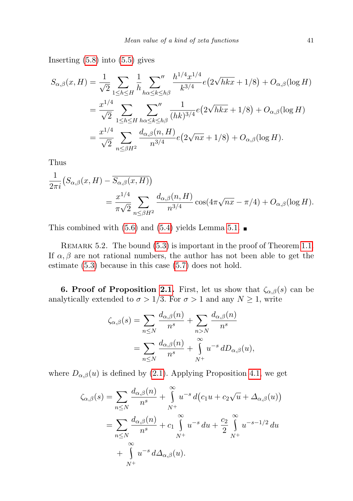Inserting  $(5.8)$  into  $(5.5)$  gives

$$
S_{\alpha,\beta}(x,H) = \frac{1}{\sqrt{2}} \sum_{1 \le h \le H} \frac{1}{h} \sum_{h\alpha \le k \le h\beta} \frac{h^{1/4}x^{1/4}}{k^{3/4}} e(2\sqrt{hk}x + 1/8) + O_{\alpha,\beta}(\log H)
$$
  
= 
$$
\frac{x^{1/4}}{\sqrt{2}} \sum_{1 \le h \le H} \sum_{h\alpha \le k \le h\beta} \frac{1}{(hk)^{3/4}} e(2\sqrt{hk}x + 1/8) + O_{\alpha,\beta}(\log H)
$$
  
= 
$$
\frac{x^{1/4}}{\sqrt{2}} \sum_{n \le \beta H^2} \frac{d_{\alpha,\beta}(n,H)}{n^{3/4}} e(2\sqrt{nx} + 1/8) + O_{\alpha,\beta}(\log H).
$$

Thus

$$
\frac{1}{2\pi i} \left( S_{\alpha,\beta}(x,H) - \overline{S_{\alpha,\beta}(x,H)} \right)
$$
  
= 
$$
\frac{x^{1/4}}{\pi \sqrt{2}} \sum_{n \le \beta H^2} \frac{d_{\alpha,\beta}(n,H)}{n^{3/4}} \cos(4\pi \sqrt{nx} - \pi/4) + O_{\alpha,\beta}(\log H).
$$

This combined with  $(5.6)$  and  $(5.4)$  yields Lemma [5.1.](#page-6-1)

REMARK 5.2. The bound  $(5.3)$  is important in the proof of Theorem [1.1.](#page-1-0) If  $\alpha, \beta$  are not rational numbers, the author has not been able to get the estimate [\(5.3\)](#page-6-1) because in this case [\(5.7\)](#page-7-3) does not hold.

<span id="page-8-0"></span>**6. Proof of Proposition [2.1.](#page-2-1)** First, let us show that  $\zeta_{\alpha,\beta}(s)$  can be analytically extended to  $\sigma > 1/3$ . For  $\sigma > 1$  and any  $N \ge 1$ , write

$$
\zeta_{\alpha,\beta}(s) = \sum_{n \leq N} \frac{d_{\alpha,\beta}(n)}{n^s} + \sum_{n > N} \frac{d_{\alpha,\beta}(n)}{n^s}
$$

$$
= \sum_{n \leq N} \frac{d_{\alpha,\beta}(n)}{n^s} + \int_{N^+}^{\infty} u^{-s} dD_{\alpha,\beta}(u),
$$

where  $D_{\alpha,\beta}(u)$  is defined by [\(2.1\)](#page-2-2). Applying Proposition [4.1,](#page-4-1) we get

$$
\zeta_{\alpha,\beta}(s) = \sum_{n \leq N} \frac{d_{\alpha,\beta}(n)}{n^s} + \int_{N^+}^{\infty} u^{-s} d(c_1 u + c_2 \sqrt{u} + \Delta_{\alpha,\beta}(u))
$$
  
= 
$$
\sum_{n \leq N} \frac{d_{\alpha,\beta}(n)}{n^s} + c_1 \int_{N^+}^{\infty} u^{-s} du + \frac{c_2}{2} \int_{N^+}^{\infty} u^{-s-1/2} du
$$
  
+ 
$$
\int_{N^+}^{\infty} u^{-s} d\Delta_{\alpha,\beta}(u).
$$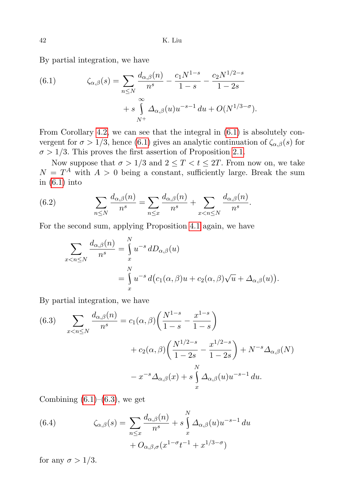By partial integration, we have

(6.1) 
$$
\zeta_{\alpha,\beta}(s) = \sum_{n \le N} \frac{d_{\alpha,\beta}(n)}{n^s} - \frac{c_1 N^{1-s}}{1-s} - \frac{c_2 N^{1/2-s}}{1-2s} + s \int_{N^+}^{\infty} \Delta_{\alpha,\beta}(u) u^{-s-1} du + O(N^{1/3-\sigma}).
$$

From Corollary [4.2,](#page-6-2) we can see that the integral in [\(6.1\)](#page-8-0) is absolutely convergent for  $\sigma > 1/3$ , hence [\(6.1\)](#page-8-0) gives an analytic continuation of  $\zeta_{\alpha,\beta}(s)$  for  $\sigma > 1/3$ . This proves the first assertion of Proposition [2.1.](#page-2-1)

Now suppose that  $\sigma > 1/3$  and  $2 \leq T < t \leq 2T$ . From now on, we take  $N = T<sup>A</sup>$  with  $A > 0$  being a constant, sufficiently large. Break the sum in  $(6.1)$  into

(6.2) 
$$
\sum_{n \leq N} \frac{d_{\alpha,\beta}(n)}{n^s} = \sum_{n \leq x} \frac{d_{\alpha,\beta}(n)}{n^s} + \sum_{x < n \leq N} \frac{d_{\alpha,\beta}(n)}{n^s}.
$$

For the second sum, applying Proposition [4.1](#page-4-1) again, we have

<span id="page-9-0"></span>
$$
\sum_{x < n \le N} \frac{d_{\alpha,\beta}(n)}{n^s} = \int\limits_x^N u^{-s} \, dD_{\alpha,\beta}(u) \\
= \int\limits_x^N u^{-s} \, d\big(c_1(\alpha,\beta)u + c_2(\alpha,\beta)\sqrt{u} + \Delta_{\alpha,\beta}(u)\big).
$$

By partial integration, we have

(6.3) 
$$
\sum_{x < n \le N} \frac{d_{\alpha,\beta}(n)}{n^s} = c_1(\alpha,\beta) \left( \frac{N^{1-s}}{1-s} - \frac{x^{1-s}}{1-s} \right) + c_2(\alpha,\beta) \left( \frac{N^{1/2-s}}{1-2s} - \frac{x^{1/2-s}}{1-2s} \right) + N^{-s} \Delta_{\alpha,\beta}(N) - x^{-s} \Delta_{\alpha,\beta}(x) + s \int_x^N \Delta_{\alpha,\beta}(u) u^{-s-1} du.
$$

Combining  $(6.1)$ – $(6.3)$ , we get

<span id="page-9-1"></span>(6.4) 
$$
\zeta_{\alpha,\beta}(s) = \sum_{n \le x} \frac{d_{\alpha,\beta}(n)}{n^s} + s \int_x^N \Delta_{\alpha,\beta}(u) u^{-s-1} du + O_{\alpha,\beta,\sigma}(x^{1-\sigma} t^{-1} + x^{1/3-\sigma})
$$

for any  $\sigma > 1/3$ .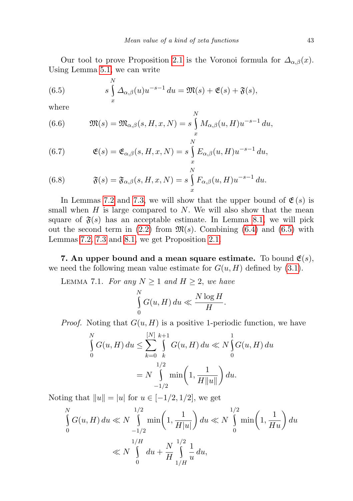Our tool to prove Proposition [2.1](#page-2-1) is the Voronoi formula for  $\Delta_{\alpha,\beta}(x)$ . Using Lemma [5.1,](#page-6-1) we can write

<span id="page-10-0"></span>(6.5) 
$$
s \int_{x}^{N} \Delta_{\alpha,\beta}(u) u^{-s-1} du = \mathfrak{M}(s) + \mathfrak{E}(s) + \mathfrak{F}(s),
$$

where

<span id="page-10-3"></span>(6.6) 
$$
\mathfrak{M}(s) = \mathfrak{M}_{\alpha,\beta}(s,H,x,N) = s \int_x^N M_{\alpha,\beta}(u,H) u^{-s-1} du,
$$

<span id="page-10-2"></span>(6.7) 
$$
\mathfrak{E}(s) = \mathfrak{E}_{\alpha,\beta}(s,H,x,N) = s \int_{x}^{N} E_{\alpha,\beta}(u,H) u^{-s-1} du,
$$

(6.8) 
$$
\mathfrak{F}(s) = \mathfrak{F}_{\alpha,\beta}(s,H,x,N) = s \int_{x}^{N} F_{\alpha,\beta}(u,H) u^{-s-1} du.
$$

In Lemmas [7.2](#page-11-0) and [7.3,](#page-11-1) we will show that the upper bound of  $\mathfrak{E}(s)$  is small when  $H$  is large compared to  $N$ . We will also show that the mean square of  $\mathfrak{F}(s)$  has an acceptable estimate. In Lemma [8.1,](#page-13-0) we will pick out the second term in  $(2.2)$  from  $\mathfrak{M}(s)$ . Combining  $(6.4)$  and  $(6.5)$  with Lemmas [7.2,](#page-11-0) [7.3](#page-11-1) and [8.1,](#page-13-0) we get Proposition [2.1.](#page-2-1)

7. An upper bound and a mean square estimate. To bound  $\mathfrak{E}(s)$ , we need the following mean value estimate for  $G(u, H)$  defined by [\(3.1\)](#page-3-2).

<span id="page-10-1"></span>LEMMA 7.1. For any  $N \geq 1$  and  $H \geq 2$ , we have  $\mathbf{v}$ 

$$
\int_{0}^{N} G(u, H) du \ll \frac{N \log H}{H}.
$$

*Proof.* Noting that  $G(u, H)$  is a positive 1-periodic function, we have

$$
\int_{0}^{N} G(u, H) du \leq \sum_{k=0}^{[N]} \int_{k}^{k+1} G(u, H) du \ll N \int_{0}^{1} G(u, H) du
$$

$$
= N \int_{-1/2}^{1/2} \min\left(1, \frac{1}{H||u||}\right) du.
$$

Noting that  $||u|| = |u|$  for  $u \in [-1/2, 1/2]$ , we get

$$
\int_{0}^{N} G(u, H) du \ll N \int_{-1/2}^{1/2} \min\left(1, \frac{1}{H|u|}\right) du \ll N \int_{0}^{1/2} \min\left(1, \frac{1}{Hu}\right) du
$$
  

$$
\ll N \int_{0}^{1/H} du + \frac{N}{H} \int_{1/H}^{1/2} \frac{1}{u} du,
$$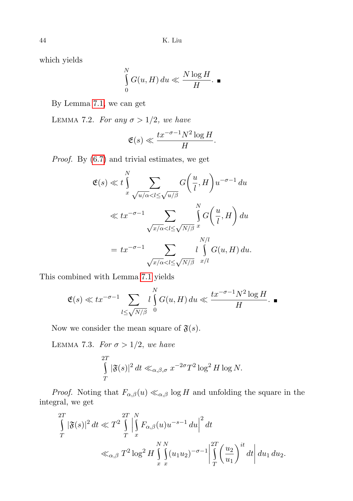which yields

$$
\int_{0}^{N} G(u, H) du \ll \frac{N \log H}{H}.
$$

<span id="page-11-0"></span>By Lemma [7.1,](#page-10-1) we can get

LEMMA 7.2. For any  $\sigma > 1/2$ , we have

$$
\mathfrak{E}(s) \ll \frac{tx^{-\sigma-1}N^2\log H}{H}.
$$

Proof. By [\(6.7\)](#page-10-2) and trivial estimates, we get

$$
\mathfrak{E}(s) \ll t \int_{x}^{N} \sum_{\sqrt{u/\alpha} < l \leq \sqrt{u/\beta}} G\left(\frac{u}{l}, H\right) u^{-\sigma - 1} du
$$
\n
$$
\ll t x^{-\sigma - 1} \sum_{\sqrt{x/\alpha} < l \leq \sqrt{N/\beta}} \int_{x}^{N} G\left(\frac{u}{l}, H\right) du
$$
\n
$$
= t x^{-\sigma - 1} \sum_{\sqrt{x/\alpha} < l \leq \sqrt{N/\beta}} \int_{x/l}^{N/l} G(u, H) du.
$$

This combined with Lemma [7.1](#page-10-1) yields

$$
\mathfrak{E}(s) \ll tx^{-\sigma-1} \sum_{l \leq \sqrt{N/\beta}} l \int_{0}^{N} G(u, H) du \ll \frac{tx^{-\sigma-1} N^2 \log H}{H}.
$$

Now we consider the mean square of  $\mathfrak{F}(s)$ .

<span id="page-11-1"></span>LEMMA 7.3. For  $\sigma > 1/2$ , we have

$$
\int\limits_T^{2T} |\mathfrak{F}(s)|^2 dt \ll_{\alpha,\beta,\sigma} x^{-2\sigma} T^2 \log^2 H \log N.
$$

*Proof.* Noting that  $F_{\alpha,\beta}(u) \ll_{\alpha,\beta} \log H$  and unfolding the square in the integral, we get

$$
\int_{T}^{2T} |\mathfrak{F}(s)|^2 dt \ll T^2 \int_{T}^{2T} \left| \int_{x}^{N} F_{\alpha,\beta}(u) u^{-s-1} du \right|^2 dt
$$
  

$$
\ll_{\alpha,\beta} T^2 \log^2 H \int_{x}^{N} \int_{x}^{N} (u_1 u_2)^{-\sigma-1} \left| \int_{T}^{2T} \left(\frac{u_2}{u_1}\right)^{it} dt \right| du_1 du_2.
$$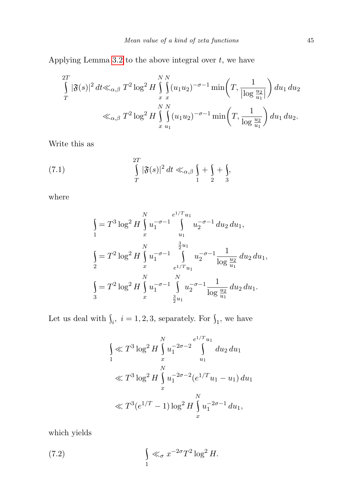Applying Lemma [3.2](#page-3-3) to the above integral over  $t$ , we have

$$
\int_{T}^{2T} |\mathfrak{F}(s)|^2 dt \ll_{\alpha,\beta} T^2 \log^2 H \int_{x}^{N} \int_{x}^{N} (u_1 u_2)^{-\sigma-1} \min\left(T, \frac{1}{|\log \frac{u_2}{u_1}|}\right) du_1 du_2
$$
  

$$
\ll_{\alpha,\beta} T^2 \log^2 H \int_{x}^{N} \int_{u_1}^{N} (u_1 u_2)^{-\sigma-1} \min\left(T, \frac{1}{\log \frac{u_2}{u_1}}\right) du_1 du_2.
$$

Write this as

(7.1) 
$$
\int_{T}^{2T} |\mathfrak{F}(s)|^2 dt \ll_{\alpha,\beta} \int_{1} + \int_{2} + \int_{3}.
$$

where

<span id="page-12-0"></span>
$$
\int_{1}^{\infty} = T^{3} \log^{2} H \int_{x}^{N} u_{1}^{-\sigma-1} \int_{u_{1}}^{e^{1/T} u_{1}} u_{2}^{-\sigma-1} du_{2} du_{1},
$$
\n
$$
\int_{2}^{\infty} = T^{2} \log^{2} H \int_{x}^{N} u_{1}^{-\sigma-1} \int_{e^{1/T} u_{1}}^{e^{3} u_{1}} u_{2}^{-\sigma-1} \frac{1}{\log \frac{u_{2}}{u_{1}}} du_{2} du_{1},
$$
\n
$$
\int_{3}^{\infty} = T^{2} \log^{2} H \int_{x}^{N} u_{1}^{-\sigma-1} \int_{\frac{3}{2} u_{1}}^{N} u_{2}^{-\sigma-1} \frac{1}{\log \frac{u_{2}}{u_{1}}} du_{2} du_{1}.
$$

Let us deal with  $\int_i$ ,  $i = 1, 2, 3$ , separately. For  $\int_1$ , we have

$$
\int_{1}^{\infty} \mathcal{K}^{3} \log^{2} H \int_{x}^{N} u_{1}^{-2\sigma-2} \int_{u_{1}}^{e^{1/T} u_{1}} du_{2} du_{1}
$$
  

$$
\ll T^{3} \log^{2} H \int_{x}^{N} u_{1}^{-2\sigma-2} (e^{1/T} u_{1} - u_{1}) du_{1}
$$
  

$$
\ll T^{3} (e^{1/T} - 1) \log^{2} H \int_{x}^{N} u_{1}^{-2\sigma-1} du_{1},
$$

which yields

(7.2) 
$$
\int_{1}^{\infty} \ll_{\sigma} x^{-2\sigma} T^{2} \log^{2} H.
$$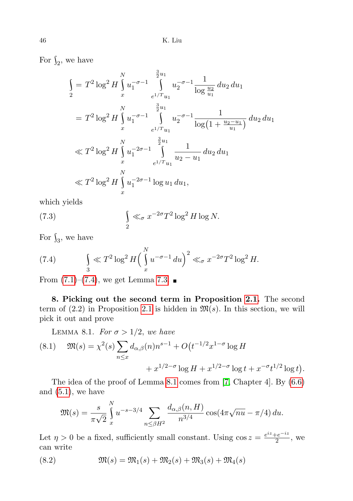For  $\int_2$ , we have

$$
\int_{2}^{\infty} = T^{2} \log^{2} H \int_{x}^{N} u_{1}^{-\sigma-1} \int_{e^{1/T} u_{1}}^{e^{2} u_{1}} u_{2}^{-\sigma-1} \frac{1}{\log \frac{u_{2}}{u_{1}}} du_{2} du_{1}
$$
\n
$$
= T^{2} \log^{2} H \int_{x}^{N} u_{1}^{-\sigma-1} \int_{e^{1/T} u_{1}}^{e^{2} u_{1}} u_{2}^{-\sigma-1} \frac{1}{\log(1 + \frac{u_{2} - u_{1}}{u_{1}})}) du_{2} du_{1}
$$
\n
$$
\ll T^{2} \log^{2} H \int_{x}^{N} u_{1}^{-2\sigma-1} \int_{e^{1/T} u_{1}}^{e^{2} u_{1}} \frac{1}{u_{2} - u_{1}} du_{2} du_{1}
$$
\n
$$
\ll T^{2} \log^{2} H \int_{x}^{N} u_{1}^{-2\sigma-1} \log u_{1} du_{1},
$$

which yields

(7.3) 
$$
\int_{2} \ll_{\sigma} x^{-2\sigma} T^{2} \log^{2} H \log N.
$$

For  $\int_3$ , we have

<span id="page-13-1"></span>(7.4) 
$$
\int_{3}^{\infty} \int_{0}^{\infty} \int_{0}^{\infty} \int_{0}^{\infty} \int_{0}^{\infty} u^{-\sigma - 1} du \, du \, du \, du
$$

From  $(7.1)–(7.4)$  $(7.1)–(7.4)$  $(7.1)–(7.4)$ , we get Lemma [7.3.](#page-11-1)

8. Picking out the second term in Proposition [2.1.](#page-2-1) The second term of  $(2.2)$  in Proposition [2.1](#page-2-1) is hidden in  $\mathfrak{M}(s)$ . In this section, we will pick it out and prove

<span id="page-13-0"></span>LEMMA 8.1. For  $\sigma > 1/2$ , we have

<span id="page-13-2"></span>(8.1) 
$$
\mathfrak{M}(s) = \chi^2(s) \sum_{n \le x} d_{\alpha,\beta}(n) n^{s-1} + O(t^{-1/2} x^{1-\sigma} \log H + x^{1/2-\sigma} \log t + x^{-\sigma} t^{1/2} \log t).
$$

The idea of the proof of Lemma [8.1](#page-13-0) comes from [\[7,](#page-21-3) Chapter 4]. By [\(6.6\)](#page-10-3) and  $(5.1)$ , we have

$$
\mathfrak{M}(s) = \frac{s}{\pi\sqrt{2}} \int_{x}^{N} u^{-s-3/4} \sum_{n \le \beta H^2} \frac{d_{\alpha,\beta}(n,H)}{n^{3/4}} \cos(4\pi\sqrt{nu} - \pi/4) du.
$$

Let  $\eta > 0$  be a fixed, sufficiently small constant. Using  $\cos z = \frac{e^{iz} + e^{-iz}}{2}$  $\frac{e^{-iz}}{2}$ , we can write

<span id="page-13-3"></span>(8.2) 
$$
\mathfrak{M}(s) = \mathfrak{M}_1(s) + \mathfrak{M}_2(s) + \mathfrak{M}_3(s) + \mathfrak{M}_4(s)
$$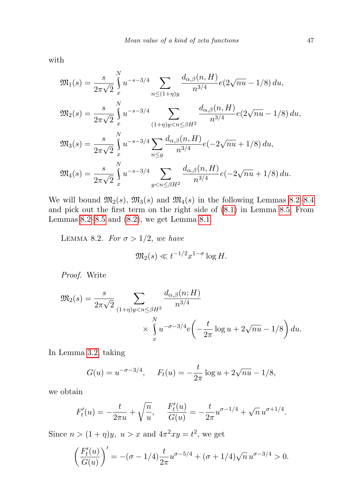with

$$
\mathfrak{M}_{1}(s) = \frac{s}{2\pi\sqrt{2}} \int_{x}^{N} u^{-s-3/4} \sum_{n \leq (1+\eta)y} \frac{d_{\alpha,\beta}(n,H)}{n^{3/4}} e(2\sqrt{nu} - 1/8) du,
$$
  

$$
\mathfrak{M}_{2}(s) = \frac{s}{2\pi\sqrt{2}} \int_{x}^{N} u^{-s-3/4} \sum_{(1+\eta)y < n \leq \beta H^{2}} \frac{d_{\alpha,\beta}(n,H)}{n^{3/4}} e(2\sqrt{nu} - 1/8) du,
$$
  

$$
\mathfrak{M}_{3}(s) = \frac{s}{2\pi\sqrt{2}} \int_{x}^{N} u^{-s-3/4} \sum_{n \leq y} \frac{d_{\alpha,\beta}(n,H)}{n^{3/4}} e(-2\sqrt{nu} + 1/8) du,
$$
  

$$
\mathfrak{M}_{4}(s) = \frac{s}{2\pi\sqrt{2}} \int_{x}^{N} u^{-s-3/4} \sum_{y < n \leq \beta H^{2}} \frac{d_{\alpha,\beta}(n,H)}{n^{3/4}} e(-2\sqrt{nu} + 1/8) du.
$$

We will bound  $\mathfrak{M}_2(s)$ ,  $\mathfrak{M}_3(s)$  and  $\mathfrak{M}_4(s)$  in the following Lemmas [8.2–](#page-14-0)[8.4](#page-17-0) and pick out the first term on the right side of [\(8.1\)](#page-13-2) in Lemma [8.5.](#page-17-1) From Lemmas [8.2–](#page-14-0)[8.5](#page-17-1) and [\(8.2\)](#page-13-3), we get Lemma [8.1.](#page-13-0)

<span id="page-14-0"></span>LEMMA 8.2. For  $\sigma > 1/2$ , we have

$$
\mathfrak{M}_2(s) \ll t^{-1/2} x^{1-\sigma} \log H.
$$

Proof. Write

$$
\mathfrak{M}_2(s) = \frac{s}{2\pi\sqrt{2}} \sum_{\substack{(1+\eta)y < n \leq \beta H^2}} \frac{d_{\alpha,\beta}(n;H)}{n^{3/4}}
$$
\n
$$
\times \int\limits_x^N u^{-\sigma - 3/4} e\left(-\frac{t}{2\pi}\log u + 2\sqrt{nu} - 1/8\right) du.
$$

In Lemma [3.2,](#page-3-3) taking

$$
G(u) = u^{-\sigma - 3/4}, \quad F_t(u) = -\frac{t}{2\pi} \log u + 2\sqrt{nu} - 1/8,
$$

we obtain

$$
F'_t(u) = -\frac{t}{2\pi u} + \sqrt{\frac{n}{u}}, \quad \frac{F'_t(u)}{G(u)} = -\frac{t}{2\pi}u^{\sigma - 1/4} + \sqrt{n}u^{\sigma + 1/4}.
$$

Since  $n > (1 + \eta)y$ ,  $u > x$  and  $4\pi^2 xy = t^2$ , we get

$$
\left(\frac{F'_t(u)}{G(u)}\right)' = -(\sigma - 1/4) \frac{t}{2\pi} u^{\sigma - 5/4} + (\sigma + 1/4) \sqrt{n} u^{\sigma - 3/4} > 0.
$$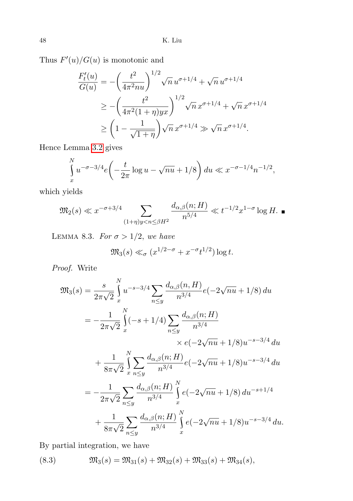Thus  $F'(u)/G(u)$  is monotonic and

$$
\frac{F'_t(u)}{G(u)} = -\left(\frac{t^2}{4\pi^2 nu}\right)^{1/2} \sqrt{n} u^{\sigma+1/4} + \sqrt{n} u^{\sigma+1/4}
$$
  
\n
$$
\ge -\left(\frac{t^2}{4\pi^2 (1+\eta) yx}\right)^{1/2} \sqrt{n} x^{\sigma+1/4} + \sqrt{n} x^{\sigma+1/4}
$$
  
\n
$$
\ge \left(1 - \frac{1}{\sqrt{1+\eta}}\right) \sqrt{n} x^{\sigma+1/4} \gg \sqrt{n} x^{\sigma+1/4}.
$$

Hence Lemma [3.2](#page-3-3) gives

$$
\int_{x}^{N} u^{-\sigma - 3/4} e\left(-\frac{t}{2\pi} \log u - \sqrt{nu} + 1/8\right) du \ll x^{-\sigma - 1/4} n^{-1/2},
$$

which yields

$$
\mathfrak{M}_2(s) \ll x^{-\sigma+3/4} \sum_{(1+\eta)y < n \le \beta H^2} \frac{d_{\alpha,\beta}(n;H)}{n^{5/4}} \ll t^{-1/2} x^{1-\sigma} \log H.
$$

<span id="page-15-0"></span>LEMMA 8.3. For  $\sigma > 1/2$ , we have

$$
\mathfrak{M}_3(s) \ll_{\sigma} (x^{1/2-\sigma} + x^{-\sigma} t^{1/2}) \log t.
$$

Proof. Write

$$
\mathfrak{M}_{3}(s) = \frac{s}{2\pi\sqrt{2}} \int_{x}^{N} u^{-s-3/4} \sum_{n\leq y} \frac{d_{\alpha,\beta}(n,H)}{n^{3/4}} e(-2\sqrt{nu} + 1/8) du
$$
  
\n
$$
= -\frac{1}{2\pi\sqrt{2}} \int_{x}^{N} (-s+1/4) \sum_{n\leq y} \frac{d_{\alpha,\beta}(n;H)}{n^{3/4}} \times e(-2\sqrt{nu} + 1/8) u^{-s-3/4} du
$$
  
\n
$$
+ \frac{1}{8\pi\sqrt{2}} \int_{x}^{N} \sum_{n\leq y} \frac{d_{\alpha,\beta}(n;H)}{n^{3/4}} e(-2\sqrt{nu} + 1/8) u^{-s-3/4} du
$$
  
\n
$$
= -\frac{1}{2\pi\sqrt{2}} \sum_{n\leq y} \frac{d_{\alpha,\beta}(n;H)}{n^{3/4}} \int_{x}^{N} e(-2\sqrt{nu} + 1/8) du^{-s+1/4}
$$
  
\n
$$
+ \frac{1}{8\pi\sqrt{2}} \sum_{n\leq y} \frac{d_{\alpha,\beta}(n;H)}{n^{3/4}} \int_{x}^{N} e(-2\sqrt{nu} + 1/8) u^{-s-3/4} du.
$$

By partial integration, we have

<span id="page-15-1"></span>(8.3) 
$$
\mathfrak{M}_3(s) = \mathfrak{M}_{31}(s) + \mathfrak{M}_{32}(s) + \mathfrak{M}_{33}(s) + \mathfrak{M}_{34}(s),
$$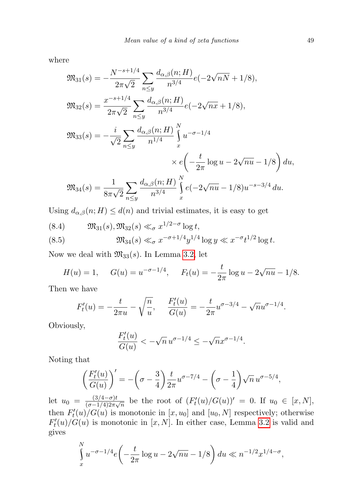where

$$
\mathfrak{M}_{31}(s) = -\frac{N^{-s+1/4}}{2\pi\sqrt{2}} \sum_{n\leq y} \frac{d_{\alpha,\beta}(n;H)}{n^{3/4}} e(-2\sqrt{nN} + 1/8),
$$
  

$$
\mathfrak{M}_{32}(s) = \frac{x^{-s+1/4}}{2\pi\sqrt{2}} \sum_{n\leq y} \frac{d_{\alpha,\beta}(n;H)}{n^{3/4}} e(-2\sqrt{n}x + 1/8),
$$
  

$$
\mathfrak{M}_{33}(s) = -\frac{i}{\sqrt{2}} \sum_{n\leq y} \frac{d_{\alpha,\beta}(n;H)}{n^{1/4}} \int_{x}^{N} u^{-\sigma-1/4} \times e\left(-\frac{t}{2\pi} \log u - 2\sqrt{nu} - 1/8\right) du,
$$
  

$$
\mathfrak{M}_{34}(s) = \frac{1}{8\pi\sqrt{2}} \sum_{n\leq y} \frac{d_{\alpha,\beta}(n;H)}{n^{3/4}} \int_{x}^{N} e(-2\sqrt{nu} - 1/8) u^{-s-3/4} du.
$$

Using  $d_{\alpha,\beta}(n;H) \leq d(n)$  and trivial estimates, it is easy to get

(8.4) 
$$
\mathfrak{M}_{31}(s), \mathfrak{M}_{32}(s) \ll_{\sigma} x^{1/2-\sigma} \log t,
$$
  
\n(8.5)  $\mathfrak{M}_{34}(s) \ll_{\sigma} x^{-\sigma+1/4} y^{1/4} \log y \ll x^{-\sigma} t^{1/2} \log t.$ 

Now we deal with  $\mathfrak{M}_{33}(s)$ . In Lemma [3.2,](#page-3-3) let

 $\overline{a}$ 

$$
H(u) = 1
$$
,  $G(u) = u^{-\sigma - 1/4}$ ,  $F_t(u) = -\frac{t}{2\pi} \log u - 2\sqrt{nu} - 1/8$ .

Then we have

$$
F'_t(u) = -\frac{t}{2\pi u} - \sqrt{\frac{n}{u}}, \quad \frac{F'_t(u)}{G(u)} = -\frac{t}{2\pi}u^{\sigma - 3/4} - \sqrt{n}u^{\sigma - 1/4}.
$$

Obviously,

$$
\frac{F'_t(u)}{G(u)} < -\sqrt{n} u^{\sigma - 1/4} \le -\sqrt{n} x^{\sigma - 1/4}.
$$

Noting that

$$
\left(\frac{F'_t(u)}{G(u)}\right)' = -\left(\sigma - \frac{3}{4}\right)\frac{t}{2\pi}u^{\sigma - 7/4} - \left(\sigma - \frac{1}{4}\right)\sqrt{n}u^{\sigma - 5/4},
$$

let  $u_0 = \frac{(3/4 - \sigma)t}{(\sigma - 1/4)2\pi\sigma}$  $\frac{(3/4-\sigma)t}{(\sigma-1/4)2\pi\sqrt{n}}$  be the root of  $(F'_t(u)/G(u))' = 0$ . If  $u_0 \in [x, N]$ , then  $F'_t(u)/G(u)$  is monotonic in  $[x, u_0]$  and  $[u_0, N]$  respectively; otherwise  $F'_t(u)/G(u)$  is monotonic in [x, N]. In either case, Lemma [3.2](#page-3-3) is valid and gives

$$
\int_{x}^{N} u^{-\sigma - 1/4} e\left(-\frac{t}{2\pi} \log u - 2\sqrt{nu} - 1/8\right) du \ll n^{-1/2} x^{1/4 - \sigma},
$$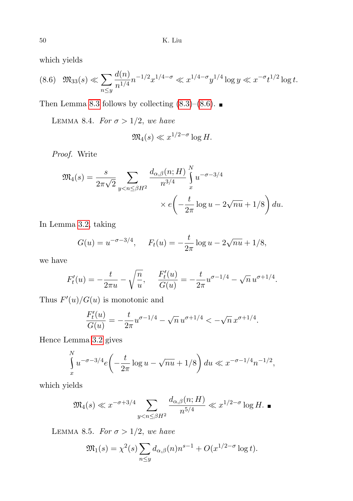which yields

<span id="page-17-2"></span>
$$
(8.6) \quad \mathfrak{M}_{33}(s) \ll \sum_{n \le y} \frac{d(n)}{n^{1/4}} n^{-1/2} x^{1/4 - \sigma} \ll x^{1/4 - \sigma} y^{1/4} \log y \ll x^{-\sigma} t^{1/2} \log t.
$$

Then Lemma [8.3](#page-15-0) follows by collecting  $(8.3)$ – $(8.6)$ .

<span id="page-17-0"></span>LEMMA 8.4. For  $\sigma > 1/2$ , we have

$$
\mathfrak{M}_4(s) \ll x^{1/2-\sigma} \log H.
$$

Proof. Write

$$
\mathfrak{M}_4(s) = \frac{s}{2\pi\sqrt{2}} \sum_{y < n \leq \beta H^2} \frac{d_{\alpha,\beta}(n;H)}{n^{3/4}} \int_x^N u^{-\sigma - 3/4} \times e\left(-\frac{t}{2\pi}\log u - 2\sqrt{nu} + 1/8\right) du.
$$

In Lemma [3.2,](#page-3-3) taking

$$
G(u) = u^{-\sigma - 3/4}
$$
,  $F_t(u) = -\frac{t}{2\pi} \log u - 2\sqrt{nu} + 1/8$ ,

we have

$$
F'_t(u) = -\frac{t}{2\pi u} - \sqrt{\frac{n}{u}}, \quad \frac{F'_t(u)}{G(u)} = -\frac{t}{2\pi}u^{\sigma - 1/4} - \sqrt{n}u^{\sigma + 1/4}.
$$

Thus  $F'(u)/G(u)$  is monotonic and

$$
\frac{F_t'(u)}{G(u)} = -\frac{t}{2\pi}u^{\sigma-1/4} - \sqrt{n}\,u^{\sigma+1/4} < -\sqrt{n}\,x^{\sigma+1/4}.
$$

Hence Lemma [3.2](#page-3-3) gives

$$
\int_{x}^{N} u^{-\sigma - 3/4} e\left(-\frac{t}{2\pi} \log u - \sqrt{nu} + 1/8\right) du \ll x^{-\sigma - 1/4} n^{-1/2},
$$

which yields

$$
\mathfrak{M}_4(s) \ll x^{-\sigma+3/4} \sum_{y < n \le \beta H^2} \frac{d_{\alpha,\beta}(n;H)}{n^{5/4}} \ll x^{1/2-\sigma} \log H. \blacksquare
$$

<span id="page-17-1"></span>LEMMA 8.5. For  $\sigma > 1/2$ , we have

$$
\mathfrak{M}_1(s) = \chi^2(s) \sum_{n \le y} d_{\alpha,\beta}(n) n^{s-1} + O(x^{1/2-\sigma} \log t).
$$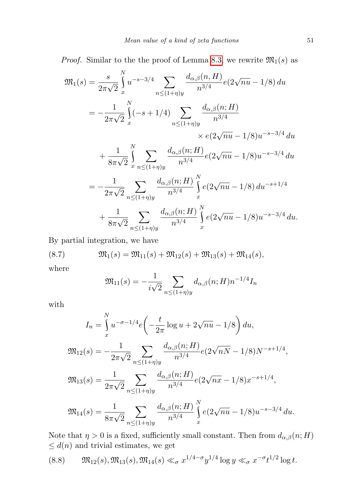*Proof.* Similar to the the proof of Lemma [8.3,](#page-15-0) we rewrite  $\mathfrak{M}_1(s)$  as

$$
\mathfrak{M}_{1}(s) = \frac{s}{2\pi\sqrt{2}} \int_{x}^{N} u^{-s-3/4} \sum_{n \leq (1+\eta)y} \frac{d_{\alpha,\beta}(n,H)}{n^{3/4}} e(2\sqrt{nu} - 1/8) du
$$
  
\n
$$
= -\frac{1}{2\pi\sqrt{2}} \int_{x}^{N} (-s+1/4) \sum_{n \leq (1+\eta)y} \frac{d_{\alpha,\beta}(n;H)}{n^{3/4}} \times e(2\sqrt{nu} - 1/8) u^{-s-3/4} du
$$
  
\n
$$
+ \frac{1}{8\pi\sqrt{2}} \int_{x}^{N} \sum_{n \leq (1+\eta)y} \frac{d_{\alpha,\beta}(n;H)}{n^{3/4}} e(2\sqrt{nu} - 1/8) u^{-s-3/4} du
$$
  
\n
$$
= -\frac{1}{2\pi\sqrt{2}} \sum_{n \leq (1+\eta)y} \frac{d_{\alpha,\beta}(n;H)}{n^{3/4}} \int_{x}^{N} e(2\sqrt{nu} - 1/8) du^{-s+1/4}
$$
  
\n
$$
+ \frac{1}{8\pi\sqrt{2}} \sum_{n \leq (1+\eta)y} \frac{d_{\alpha,\beta}(n;H)}{n^{3/4}} \int_{x}^{N} e(2\sqrt{nu} - 1/8) u^{-s-3/4} du.
$$

By partial integration, we have

(8.7) 
$$
\mathfrak{M}_1(s) = \mathfrak{M}_{11}(s) + \mathfrak{M}_{12}(s) + \mathfrak{M}_{13}(s) + \mathfrak{M}_{14}(s),
$$

where

<span id="page-18-0"></span>
$$
\mathfrak{M}_{11}(s) = -\frac{1}{i\sqrt{2}} \sum_{n \le (1+\eta)y} d_{\alpha,\beta}(n;H) n^{-1/4} I_n
$$

with

$$
I_n = \int_x^N u^{-\sigma - 1/4} e\left(-\frac{t}{2\pi} \log u + 2\sqrt{nu} - 1/8\right) du,
$$
  

$$
\mathfrak{M}_{12}(s) = -\frac{1}{2\pi\sqrt{2}} \sum_{n \le (1+\eta)y} \frac{d_{\alpha,\beta}(n;H)}{n^{3/4}} e\left(2\sqrt{nN} - 1/8\right) N^{-s+1/4},
$$
  

$$
\mathfrak{M}_{13}(s) = \frac{1}{2\pi\sqrt{2}} \sum_{n \le (1+\eta)y} \frac{d_{\alpha,\beta}(n;H)}{n^{3/4}} e\left(2\sqrt{nx} - 1/8\right) x^{-s+1/4},
$$
  

$$
\mathfrak{M}_{14}(s) = \frac{1}{8\pi\sqrt{2}} \sum_{n \le (1+\eta)y} \frac{d_{\alpha,\beta}(n;H)}{n^{3/4}} \int_x^N e\left(2\sqrt{nu} - 1/8\right) u^{-s-3/4} du.
$$

Note that  $\eta > 0$  is a fixed, sufficiently small constant. Then from  $d_{\alpha,\beta}(n;H)$  $\leq d(n)$  and trivial estimates, we get

<span id="page-18-1"></span>
$$
(8.8) \t \mathfrak{M}_{12}(s), \mathfrak{M}_{13}(s), \mathfrak{M}_{14}(s) \ll_{\sigma} x^{1/4-\sigma} y^{1/4} \log y \ll_{\sigma} x^{-\sigma} t^{1/2} \log t.
$$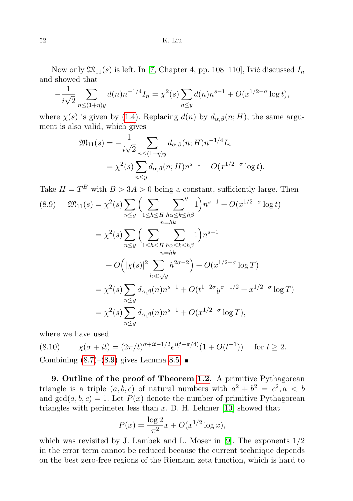Now only  $\mathfrak{M}_{11}(s)$  is left. In [\[7,](#page-21-3) Chapter 4, pp. 108–110], Ivić discussed  $I_n$ and showed that

$$
-\frac{1}{i\sqrt{2}}\sum_{n\leq (1+\eta)y}d(n)n^{-1/4}I_n=\chi^2(s)\sum_{n\leq y}d(n)n^{s-1}+O(x^{1/2-\sigma}\log t),
$$

where  $\chi(s)$  is given by [\(1.4\)](#page-1-2). Replacing  $d(n)$  by  $d_{\alpha,\beta}(n;H)$ , the same argument is also valid, which gives

$$
\mathfrak{M}_{11}(s) = -\frac{1}{i\sqrt{2}} \sum_{n \le (1+\eta)y} d_{\alpha,\beta}(n;H) n^{-1/4} I_n
$$
  
=  $\chi^2(s) \sum_{n \le y} d_{\alpha,\beta}(n;H) n^{s-1} + O(x^{1/2-\sigma} \log t).$ 

Take  $H = T<sup>B</sup>$  with  $B > 3A > 0$  being a constant, sufficiently large. Then

$$
(8.9) \mathfrak{M}_{11}(s) = \chi^2(s) \sum_{n \le y} \Big( \sum_{1 \le h \le H} \sum_{h\alpha \le k \le h\beta}^{n} 1 \Big) n^{s-1} + O(x^{1/2-\sigma} \log t)
$$
  
\n
$$
= \chi^2(s) \sum_{n \le y} \Big( \sum_{1 \le h \le H} \sum_{h\alpha \le k \le h\beta} 1 \Big) n^{s-1}
$$
  
\n
$$
+ O\Big( |\chi(s)|^2 \sum_{h \ll \sqrt{y}} h^{2\sigma - 2} \Big) + O(x^{1/2-\sigma} \log T)
$$
  
\n
$$
= \chi^2(s) \sum_{n \le y} d_{\alpha,\beta}(n) n^{s-1} + O(t^{1-2\sigma} y^{\sigma - 1/2} + x^{1/2-\sigma} \log T)
$$
  
\n
$$
= \chi^2(s) \sum_{n \le y} d_{\alpha,\beta}(n) n^{s-1} + O(x^{1/2-\sigma} \log T),
$$

where we have used

$$
(8.10) \qquad \chi(\sigma + it) = (2\pi/t)^{\sigma + it - 1/2} e^{i(t + \pi/4)} (1 + O(t^{-1})) \quad \text{for } t \ge 2.
$$

Combining  $(8.7)$ – $(8.9)$  gives Lemma [8.5.](#page-17-1)

9. Outline of the proof of Theorem [1.2.](#page-2-3) A primitive Pythagorean triangle is a triple  $(a, b, c)$  of natural numbers with  $a^2 + b^2 = c^2, a < b$ and  $gcd(a, b, c) = 1$ . Let  $P(x)$  denote the number of primitive Pythagorean triangles with perimeter less than  $x$ . D. H. Lehmer [\[10\]](#page-21-4) showed that

$$
P(x) = \frac{\log 2}{\pi^2} x + O(x^{1/2} \log x),
$$

which was revisited by J. Lambek and L. Moser in [\[9\]](#page-21-10). The exponents  $1/2$ in the error term cannot be reduced because the current technique depends on the best zero-free regions of the Riemann zeta function, which is hard to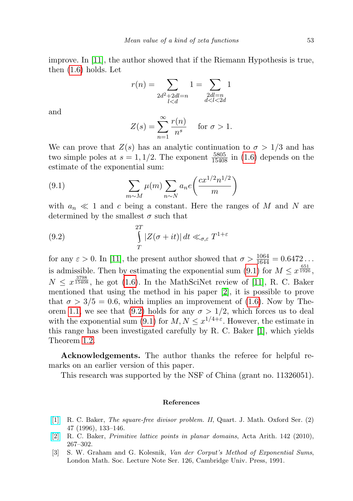improve. In [\[11\]](#page-21-5), the author showed that if the Riemann Hypothesis is true, then [\(1.6\)](#page-2-4) holds. Let

$$
r(n)=\sum_{\substack{2d^2+2dl=n\\ l
$$

and

<span id="page-20-1"></span>
$$
Z(s) = \sum_{n=1}^{\infty} \frac{r(n)}{n^s} \quad \text{for } \sigma > 1.
$$

We can prove that  $Z(s)$  has an analytic continuation to  $\sigma > 1/3$  and has two simple poles at  $s = 1, 1/2$ . The exponent  $\frac{5805}{15408}$  in [\(1.6\)](#page-2-4) depends on the estimate of the exponential sum:

(9.1) 
$$
\sum_{m \sim M} \mu(m) \sum_{n \sim N} a_n e\left(\frac{cx^{1/2} n^{1/2}}{m}\right)
$$

with  $a_n \ll 1$  and c being a constant. Here the ranges of M and N are determined by the smallest  $\sigma$  such that

<span id="page-20-3"></span>(9.2) 
$$
\int_{T}^{2T} |Z(\sigma + it)| dt \ll_{\sigma,\varepsilon} T^{1+\varepsilon}
$$

for any  $\varepsilon > 0$ . In [\[11\]](#page-21-5), the present author showed that  $\sigma > \frac{1064}{1644} = 0.6472...$ is admissible. Then by estimating the exponential sum [\(9.1\)](#page-20-1) for  $M \leq x^{\frac{651}{1926}}$ ,  $N \leq x^{\frac{3798}{15408}}$ , he got [\(1.6\)](#page-2-4). In the MathSciNet review of [\[11\]](#page-21-5), R. C. Baker mentioned that using the method in his paper [\[2\]](#page-20-2), it is possible to prove that  $\sigma > 3/5 = 0.6$ , which implies an improvement of [\(1.6\)](#page-2-4). Now by The-orem [1.1,](#page-1-0) we see that [\(9.2\)](#page-20-3) holds for any  $\sigma > 1/2$ , which forces us to deal with the exponential sum [\(9.1\)](#page-20-1) for  $M, N \leq x^{1/4+\epsilon}$ . However, the estimate in this range has been investigated carefully by R. C. Baker [\[1\]](#page-20-4), which yields Theorem [1.2.](#page-2-3)

Acknowledgements. The author thanks the referee for helpful remarks on an earlier version of this paper.

This research was supported by the NSF of China (grant no. 11326051).

## References

- <span id="page-20-4"></span>[\[1\]](http://dx.doi.org/10.1093/qmath/47.2.133) R. C. Baker, The square-free divisor problem. II, Quart. J. Math. Oxford Ser. (2) 47 (1996), 133–146.
- <span id="page-20-2"></span>[\[2\]](http://dx.doi.org/10.4064/aa142-3-4) R. C. Baker, Primitive lattice points in planar domains, Acta Arith. 142 (2010), 267–302.
- <span id="page-20-0"></span>[3] S. W. Graham and G. Kolesnik, Van der Corput's Method of Exponential Sums, London Math. Soc. Lecture Note Ser. 126, Cambridge Univ. Press, 1991.